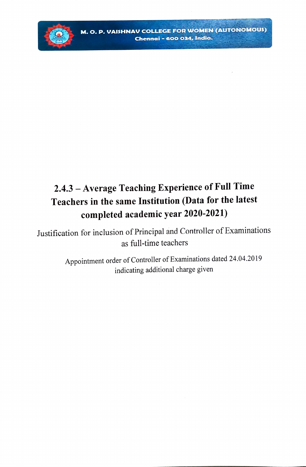

## 2.4.3 - Average Teaching Experience of Full Time Teachers in the same Institution (Data for the latest completed academic year 2020-2021)

Justification for inclusion of Principal and Controller of Examinations as full-time teachers

> Appointment order of Controller of Examinations dated 24.04.2019 indicating additional charge given